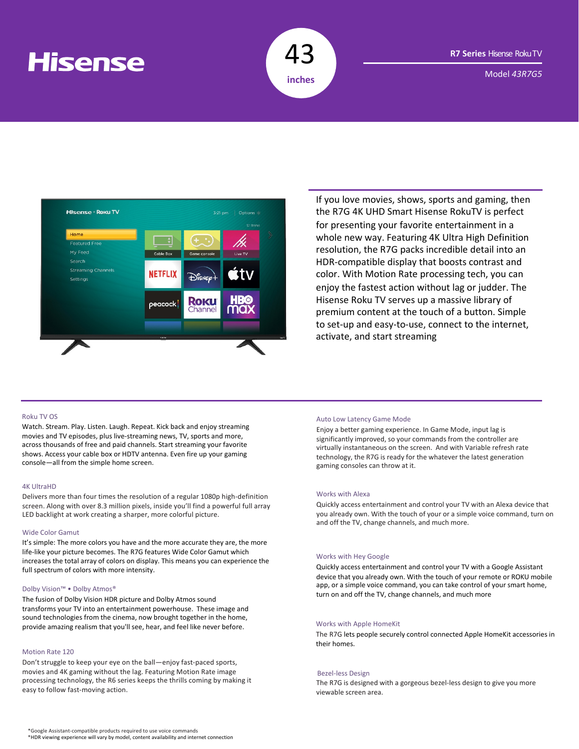# **Hisense**



Model *43R7G5*



If you love movies, shows, sports and gaming, then the R7G 4K UHD Smart Hisense RokuTV is perfect for presenting your favorite entertainment in a whole new way. Featuring 4K Ultra High Definition resolution, the R7G packs incredible detail into an HDR-compatible display that boosts contrast and color. With Motion Rate processing tech, you can enjoy the fastest action without lag or judder. The Hisense Roku TV serves up a massive library of premium content at the touch of a button. Simple to set-up and easy-to-use, connect to the internet, activate, and start streaming

#### Roku TV OS

Watch. Stream. Play. Listen. Laugh. Repeat. Kick back and enjoy streaming movies and TV episodes, plus live-streaming news, TV, sports and more, across thousands of free and paid channels. Start streaming your favorite shows. Access your cable box or HDTV antenna. Even fire up your gaming console—all from the simple home screen.

#### 4K UltraHD

Delivers more than four times the resolution of a regular 1080p high-definition screen. Along with over 8.3 million pixels, inside you'll find a powerful full array LED backlight at work creating a sharper, more colorful picture.

#### Wide Color Gamut

It's simple: The more colors you have and the more accurate they are, the more life-like your picture becomes. The R7G features Wide Color Gamut which increases the total array of colors on display. This means you can experience the full spectrum of colors with more intensity.

#### Dolby Vision™ • Dolby Atmos®

The fusion of Dolby Vision HDR picture and Dolby Atmos sound transforms your TV into an entertainment powerhouse. These image and sound technologies from the cinema, now brought together in the home, provide amazing realism that you'll see, hear, and feel like never before.

#### Motion Rate 120

Don't struggle to keep your eye on the ball—enjoy fast-paced sports, movies and 4K gaming without the lag. Featuring Motion Rate image processing technology, the R6 series keeps the thrills coming by making it easy to follow fast-moving action.

#### Auto Low Latency Game Mode

Enjoy a better gaming experience. In Game Mode, input lag is significantly improved, so your commands from the controller are virtually instantaneous on the screen. And with Variable refresh rate technology, the R7G is ready for the whatever the latest generation gaming consoles can throw at it.

#### Works with Alexa

Quickly access entertainment and control your TV with an Alexa device that you already own. With the touch of your or a simple voice command, turn on and off the TV, change channels, and much more.

#### Works with Hey Google

Quickly access entertainment and control your TV with a Google Assistant device that you already own. With the touch of your remote or ROKU mobile app, or a simple voice command, you can take control of your smart home, turn on and off the TV, change channels, and much more

### Works with Apple HomeKit

The R7G lets people securely control connected Apple HomeKit accessories in their homes.

#### Bezel-less Design

The R7G is designed with a gorgeous bezel-less design to give you more viewable screen area.